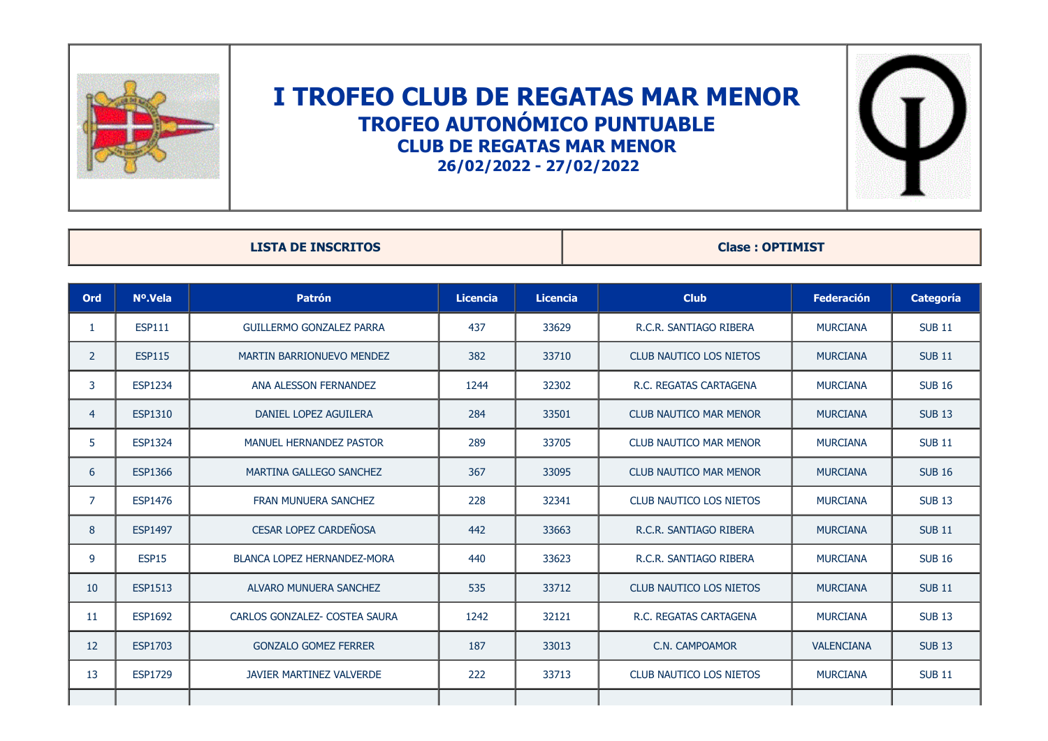

## **I TROFEO CLUB DE REGATAS MAR MENOR TROFEO AUTONÓMICO PUNTUABLE CLUB DE REGATAS MAR MENOR 26/02/2022 - 27/02/2022**



| <b>LISTA DE INSCRITOS</b> |                |                                    |                 |                 | <b>Clase: OPTIMIST</b>         |                   |                  |  |
|---------------------------|----------------|------------------------------------|-----------------|-----------------|--------------------------------|-------------------|------------------|--|
| <b>Ord</b>                | Nº.Vela        | <b>Patrón</b>                      | <b>Licencia</b> | <b>Licencia</b> | <b>Club</b>                    | <b>Federación</b> | <b>Categoría</b> |  |
| $\mathbf{1}$              | <b>ESP111</b>  | <b>GUILLERMO GONZALEZ PARRA</b>    | 437             | 33629           | R.C.R. SANTIAGO RIBERA         | <b>MURCIANA</b>   | <b>SUB 11</b>    |  |
| $\overline{2}$            | <b>ESP115</b>  | <b>MARTIN BARRIONUEVO MENDEZ</b>   | 382             | 33710           | <b>CLUB NAUTICO LOS NIETOS</b> | <b>MURCIANA</b>   | <b>SUB 11</b>    |  |
| 3                         | <b>ESP1234</b> | ANA ALESSON FERNANDEZ              | 1244            | 32302           | R.C. REGATAS CARTAGENA         | <b>MURCIANA</b>   | <b>SUB 16</b>    |  |
| $\overline{4}$            | <b>ESP1310</b> | DANIEL LOPEZ AGUILERA              | 284             | 33501           | <b>CLUB NAUTICO MAR MENOR</b>  | <b>MURCIANA</b>   | <b>SUB 13</b>    |  |
| 5                         | <b>ESP1324</b> | <b>MANUEL HERNANDEZ PASTOR</b>     | 289             | 33705           | <b>CLUB NAUTICO MAR MENOR</b>  | <b>MURCIANA</b>   | <b>SUB 11</b>    |  |
| 6                         | <b>ESP1366</b> | <b>MARTINA GALLEGO SANCHEZ</b>     | 367             | 33095           | <b>CLUB NAUTICO MAR MENOR</b>  | <b>MURCIANA</b>   | <b>SUB 16</b>    |  |
| $\overline{7}$            | <b>ESP1476</b> | <b>FRAN MUNUERA SANCHEZ</b>        | 228             | 32341           | <b>CLUB NAUTICO LOS NIETOS</b> | <b>MURCIANA</b>   | <b>SUB 13</b>    |  |
| 8                         | <b>ESP1497</b> | <b>CESAR LOPEZ CARDEÑOSA</b>       | 442             | 33663           | R.C.R. SANTIAGO RIBERA         | <b>MURCIANA</b>   | <b>SUB 11</b>    |  |
| 9                         | <b>ESP15</b>   | <b>BLANCA LOPEZ HERNANDEZ-MORA</b> | 440             | 33623           | R.C.R. SANTIAGO RIBERA         | <b>MURCIANA</b>   | <b>SUB 16</b>    |  |
| 10                        | <b>ESP1513</b> | ALVARO MUNUERA SANCHEZ             | 535             | 33712           | <b>CLUB NAUTICO LOS NIETOS</b> | <b>MURCIANA</b>   | <b>SUB 11</b>    |  |
| 11                        | <b>ESP1692</b> | CARLOS GONZALEZ- COSTEA SAURA      | 1242            | 32121           | R.C. REGATAS CARTAGENA         | <b>MURCIANA</b>   | <b>SUB 13</b>    |  |
| 12                        | <b>ESP1703</b> | <b>GONZALO GOMEZ FERRER</b>        | 187             | 33013           | C.N. CAMPOAMOR                 | <b>VALENCIANA</b> | <b>SUB 13</b>    |  |
| 13                        | <b>ESP1729</b> | <b>JAVIER MARTINEZ VALVERDE</b>    | 222             | 33713           | <b>CLUB NAUTICO LOS NIETOS</b> | <b>MURCIANA</b>   | <b>SUB 11</b>    |  |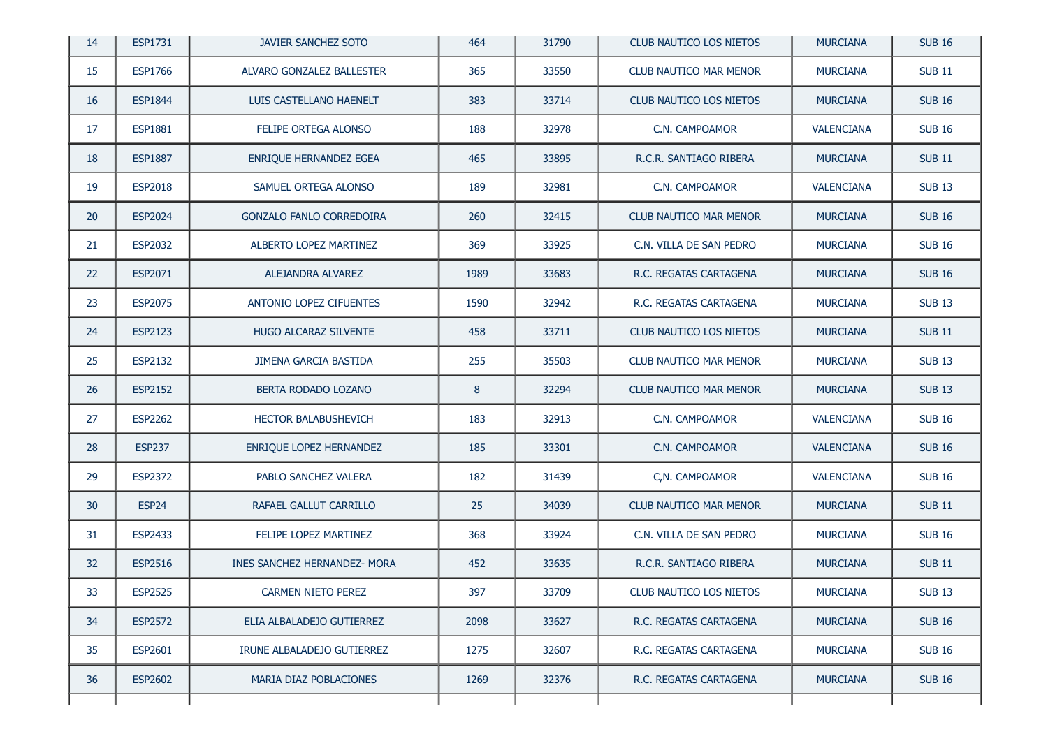| 14 | ESP1731           | <b>JAVIER SANCHEZ SOTO</b>      | 464  | 31790 | <b>CLUB NAUTICO LOS NIETOS</b> | <b>MURCIANA</b>   | <b>SUB 16</b> |
|----|-------------------|---------------------------------|------|-------|--------------------------------|-------------------|---------------|
| 15 | ESP1766           | ALVARO GONZALEZ BALLESTER       | 365  | 33550 | <b>CLUB NAUTICO MAR MENOR</b>  | <b>MURCIANA</b>   | <b>SUB 11</b> |
| 16 | <b>ESP1844</b>    | LUIS CASTELLANO HAENELT         | 383  | 33714 | CLUB NAUTICO LOS NIETOS        | <b>MURCIANA</b>   | <b>SUB 16</b> |
| 17 | <b>ESP1881</b>    | FELIPE ORTEGA ALONSO            | 188  | 32978 | C.N. CAMPOAMOR                 | <b>VALENCIANA</b> | <b>SUB 16</b> |
| 18 | <b>ESP1887</b>    | ENRIQUE HERNANDEZ EGEA          | 465  | 33895 | R.C.R. SANTIAGO RIBERA         | <b>MURCIANA</b>   | <b>SUB11</b>  |
| 19 | <b>ESP2018</b>    | SAMUEL ORTEGA ALONSO            | 189  | 32981 | C.N. CAMPOAMOR                 | <b>VALENCIANA</b> | <b>SUB 13</b> |
| 20 | <b>ESP2024</b>    | <b>GONZALO FANLO CORREDOIRA</b> | 260  | 32415 | <b>CLUB NAUTICO MAR MENOR</b>  | <b>MURCIANA</b>   | <b>SUB 16</b> |
| 21 | <b>ESP2032</b>    | ALBERTO LOPEZ MARTINEZ          | 369  | 33925 | C.N. VILLA DE SAN PEDRO        | <b>MURCIANA</b>   | <b>SUB 16</b> |
| 22 | ESP2071           | ALEJANDRA ALVAREZ               | 1989 | 33683 | R.C. REGATAS CARTAGENA         | <b>MURCIANA</b>   | <b>SUB 16</b> |
| 23 | <b>ESP2075</b>    | ANTONIO LOPEZ CIFUENTES         | 1590 | 32942 | R.C. REGATAS CARTAGENA         | <b>MURCIANA</b>   | <b>SUB 13</b> |
| 24 | <b>ESP2123</b>    | HUGO ALCARAZ SILVENTE           | 458  | 33711 | <b>CLUB NAUTICO LOS NIETOS</b> | <b>MURCIANA</b>   | <b>SUB11</b>  |
| 25 | ESP2132           | JIMENA GARCIA BASTIDA           | 255  | 35503 | <b>CLUB NAUTICO MAR MENOR</b>  | <b>MURCIANA</b>   | <b>SUB 13</b> |
| 26 | ESP2152           | BERTA RODADO LOZANO             | 8    | 32294 | <b>CLUB NAUTICO MAR MENOR</b>  | <b>MURCIANA</b>   | <b>SUB 13</b> |
| 27 | <b>ESP2262</b>    | <b>HECTOR BALABUSHEVICH</b>     | 183  | 32913 | C.N. CAMPOAMOR                 | <b>VALENCIANA</b> | <b>SUB 16</b> |
| 28 | <b>ESP237</b>     | ENRIQUE LOPEZ HERNANDEZ         | 185  | 33301 | C.N. CAMPOAMOR                 | <b>VALENCIANA</b> | <b>SUB 16</b> |
| 29 | <b>ESP2372</b>    | PABLO SANCHEZ VALERA            | 182  | 31439 | C,N. CAMPOAMOR                 | <b>VALENCIANA</b> | <b>SUB 16</b> |
| 30 | ESP <sub>24</sub> | RAFAEL GALLUT CARRILLO          | 25   | 34039 | <b>CLUB NAUTICO MAR MENOR</b>  | <b>MURCIANA</b>   | <b>SUB11</b>  |
| 31 | ESP2433           | FELIPE LOPEZ MARTINEZ           | 368  | 33924 | C.N. VILLA DE SAN PEDRO        | <b>MURCIANA</b>   | <b>SUB 16</b> |
| 32 | ESP2516           | INES SANCHEZ HERNANDEZ- MORA    | 452  | 33635 | R.C.R. SANTIAGO RIBERA         | <b>MURCIANA</b>   | <b>SUB11</b>  |
| 33 | <b>ESP2525</b>    | CARMEN NIETO PEREZ              | 397  | 33709 | CLUB NAUTICO LOS NIETOS        | <b>MURCIANA</b>   | <b>SUB 13</b> |
| 34 | <b>ESP2572</b>    | ELIA ALBALADEJO GUTIERREZ       | 2098 | 33627 | R.C. REGATAS CARTAGENA         | <b>MURCIANA</b>   | <b>SUB 16</b> |
| 35 | ESP2601           | IRUNE ALBALADEJO GUTIERREZ      | 1275 | 32607 | R.C. REGATAS CARTAGENA         | <b>MURCIANA</b>   | <b>SUB 16</b> |
| 36 | ESP2602           | MARIA DIAZ POBLACIONES          | 1269 | 32376 | R.C. REGATAS CARTAGENA         | <b>MURCIANA</b>   | <b>SUB 16</b> |
|    |                   |                                 |      |       |                                |                   |               |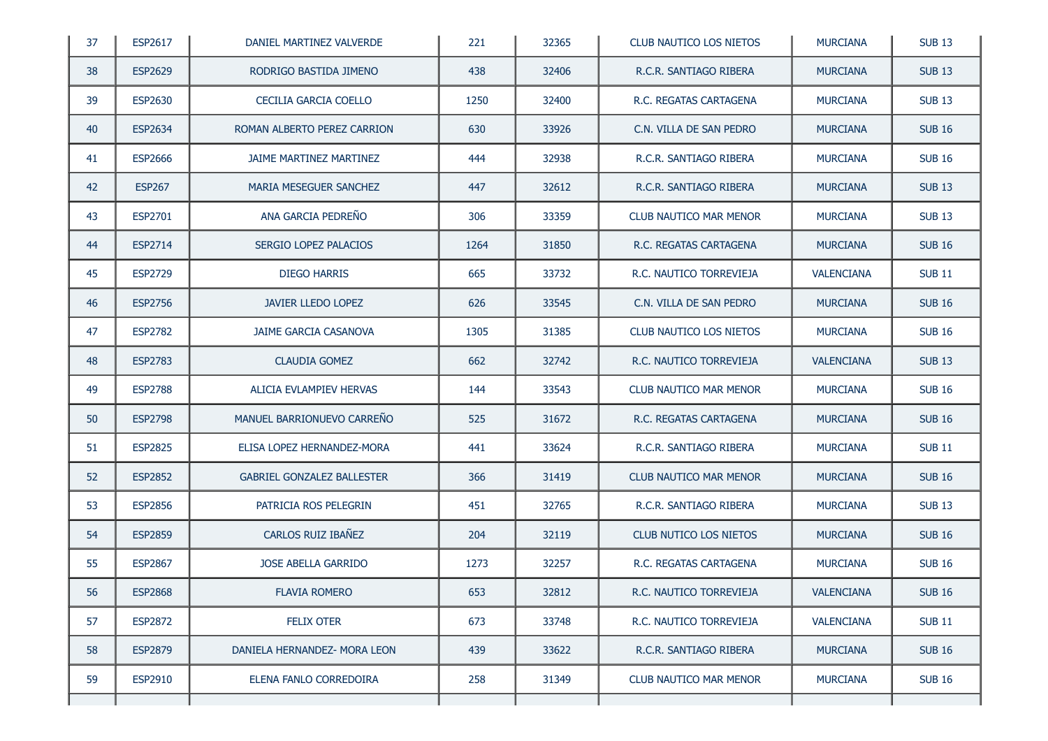| 37 | ESP2617        | DANIEL MARTINEZ VALVERDE          | 221  | 32365 | CLUB NAUTICO LOS NIETOS        | <b>MURCIANA</b>   | <b>SUB 13</b> |
|----|----------------|-----------------------------------|------|-------|--------------------------------|-------------------|---------------|
| 38 | <b>ESP2629</b> | RODRIGO BASTIDA JIMENO            | 438  | 32406 | R.C.R. SANTIAGO RIBERA         | <b>MURCIANA</b>   | <b>SUB 13</b> |
| 39 | <b>ESP2630</b> | CECILIA GARCIA COELLO             | 1250 | 32400 | R.C. REGATAS CARTAGENA         | <b>MURCIANA</b>   | <b>SUB 13</b> |
| 40 | ESP2634        | ROMAN ALBERTO PEREZ CARRION       | 630  | 33926 | C.N. VILLA DE SAN PEDRO        | <b>MURCIANA</b>   | <b>SUB 16</b> |
| 41 | <b>ESP2666</b> | JAIME MARTINEZ MARTINEZ           | 444  | 32938 | R.C.R. SANTIAGO RIBERA         | <b>MURCIANA</b>   | <b>SUB 16</b> |
| 42 | <b>ESP267</b>  | <b>MARIA MESEGUER SANCHEZ</b>     | 447  | 32612 | R.C.R. SANTIAGO RIBERA         | <b>MURCIANA</b>   | <b>SUB 13</b> |
| 43 | ESP2701        | ANA GARCIA PEDREÑO                | 306  | 33359 | <b>CLUB NAUTICO MAR MENOR</b>  | <b>MURCIANA</b>   | <b>SUB 13</b> |
| 44 | ESP2714        | SERGIO LOPEZ PALACIOS             | 1264 | 31850 | R.C. REGATAS CARTAGENA         | <b>MURCIANA</b>   | <b>SUB 16</b> |
| 45 | <b>ESP2729</b> | <b>DIEGO HARRIS</b>               | 665  | 33732 | R.C. NAUTICO TORREVIEJA        | <b>VALENCIANA</b> | <b>SUB11</b>  |
| 46 | <b>ESP2756</b> | JAVIER LLEDO LOPEZ                | 626  | 33545 | C.N. VILLA DE SAN PEDRO        | <b>MURCIANA</b>   | <b>SUB 16</b> |
| 47 | <b>ESP2782</b> | JAIME GARCIA CASANOVA             | 1305 | 31385 | <b>CLUB NAUTICO LOS NIETOS</b> | <b>MURCIANA</b>   | <b>SUB 16</b> |
| 48 | <b>ESP2783</b> | <b>CLAUDIA GOMEZ</b>              | 662  | 32742 | R.C. NAUTICO TORREVIEJA        | <b>VALENCIANA</b> | <b>SUB 13</b> |
| 49 | <b>ESP2788</b> | ALICIA EVLAMPIEV HERVAS           | 144  | 33543 | CLUB NAUTICO MAR MENOR         | <b>MURCIANA</b>   | <b>SUB 16</b> |
| 50 | <b>ESP2798</b> | MANUEL BARRIONUEVO CARREÑO        | 525  | 31672 | R.C. REGATAS CARTAGENA         | <b>MURCIANA</b>   | <b>SUB 16</b> |
| 51 | ESP2825        | ELISA LOPEZ HERNANDEZ-MORA        | 441  | 33624 | R.C.R. SANTIAGO RIBERA         | <b>MURCIANA</b>   | <b>SUB11</b>  |
| 52 | <b>ESP2852</b> | <b>GABRIEL GONZALEZ BALLESTER</b> | 366  | 31419 | <b>CLUB NAUTICO MAR MENOR</b>  | <b>MURCIANA</b>   | <b>SUB 16</b> |
| 53 | <b>ESP2856</b> | PATRICIA ROS PELEGRIN             | 451  | 32765 | R.C.R. SANTIAGO RIBERA         | <b>MURCIANA</b>   | <b>SUB 13</b> |
| 54 | <b>ESP2859</b> | CARLOS RUIZ IBAÑEZ                | 204  | 32119 | <b>CLUB NUTICO LOS NIETOS</b>  | <b>MURCIANA</b>   | <b>SUB 16</b> |
| 55 | <b>ESP2867</b> | JOSE ABELLA GARRIDO               | 1273 | 32257 | R.C. REGATAS CARTAGENA         | <b>MURCIANA</b>   | <b>SUB 16</b> |
| 56 | <b>ESP2868</b> | FLAVIA ROMERO                     | 653  | 32812 | R.C. NAUTICO TORREVIEJA        | VALENCIANA        | <b>SUB 16</b> |
| 57 | <b>ESP2872</b> | <b>FELIX OTER</b>                 | 673  | 33748 | R.C. NAUTICO TORREVIEJA        | <b>VALENCIANA</b> | <b>SUB 11</b> |
| 58 | <b>ESP2879</b> | DANIELA HERNANDEZ- MORA LEON      | 439  | 33622 | R.C.R. SANTIAGO RIBERA         | <b>MURCIANA</b>   | <b>SUB 16</b> |
| 59 | ESP2910        | ELENA FANLO CORREDOIRA            | 258  | 31349 | <b>CLUB NAUTICO MAR MENOR</b>  | <b>MURCIANA</b>   | <b>SUB 16</b> |
|    |                |                                   |      |       |                                |                   |               |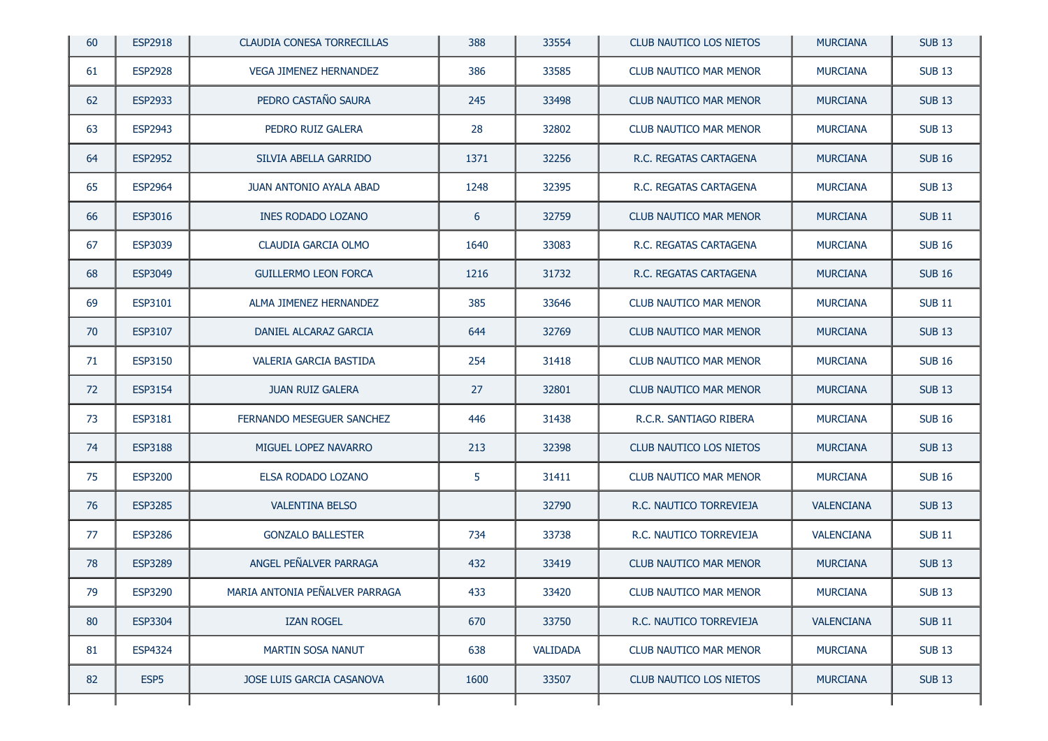| 60 | <b>ESP2918</b>   | <b>CLAUDIA CONESA TORRECILLAS</b> | 388  | 33554           | CLUB NAUTICO LOS NIETOS        | <b>MURCIANA</b>   | <b>SUB 13</b> |
|----|------------------|-----------------------------------|------|-----------------|--------------------------------|-------------------|---------------|
| 61 | <b>ESP2928</b>   | <b>VEGA JIMENEZ HERNANDEZ</b>     | 386  | 33585           | <b>CLUB NAUTICO MAR MENOR</b>  | <b>MURCIANA</b>   | <b>SUB 13</b> |
| 62 | <b>ESP2933</b>   | PEDRO CASTAÑO SAURA               | 245  | 33498           | <b>CLUB NAUTICO MAR MENOR</b>  | <b>MURCIANA</b>   | <b>SUB 13</b> |
| 63 | <b>ESP2943</b>   | PEDRO RUIZ GALERA                 | 28   | 32802           | CLUB NAUTICO MAR MENOR         | <b>MURCIANA</b>   | <b>SUB 13</b> |
| 64 | <b>ESP2952</b>   | SILVIA ABELLA GARRIDO             | 1371 | 32256           | R.C. REGATAS CARTAGENA         | <b>MURCIANA</b>   | <b>SUB 16</b> |
| 65 | <b>ESP2964</b>   | <b>JUAN ANTONIO AYALA ABAD</b>    | 1248 | 32395           | R.C. REGATAS CARTAGENA         | <b>MURCIANA</b>   | <b>SUB 13</b> |
| 66 | ESP3016          | INES RODADO LOZANO                | 6    | 32759           | <b>CLUB NAUTICO MAR MENOR</b>  | <b>MURCIANA</b>   | <b>SUB11</b>  |
| 67 | ESP3039          | CLAUDIA GARCIA OLMO               | 1640 | 33083           | R.C. REGATAS CARTAGENA         | <b>MURCIANA</b>   | <b>SUB 16</b> |
| 68 | <b>ESP3049</b>   | <b>GUILLERMO LEON FORCA</b>       | 1216 | 31732           | R.C. REGATAS CARTAGENA         | <b>MURCIANA</b>   | <b>SUB 16</b> |
| 69 | ESP3101          | ALMA JIMENEZ HERNANDEZ            | 385  | 33646           | <b>CLUB NAUTICO MAR MENOR</b>  | <b>MURCIANA</b>   | <b>SUB11</b>  |
| 70 | ESP3107          | DANIEL ALCARAZ GARCIA             | 644  | 32769           | <b>CLUB NAUTICO MAR MENOR</b>  | <b>MURCIANA</b>   | <b>SUB 13</b> |
| 71 | ESP3150          | VALERIA GARCIA BASTIDA            | 254  | 31418           | <b>CLUB NAUTICO MAR MENOR</b>  | <b>MURCIANA</b>   | <b>SUB 16</b> |
| 72 | ESP3154          | <b>JUAN RUIZ GALERA</b>           | 27   | 32801           | <b>CLUB NAUTICO MAR MENOR</b>  | <b>MURCIANA</b>   | <b>SUB 13</b> |
| 73 | ESP3181          | FERNANDO MESEGUER SANCHEZ         | 446  | 31438           | R.C.R. SANTIAGO RIBERA         | <b>MURCIANA</b>   | <b>SUB 16</b> |
| 74 | <b>ESP3188</b>   | MIGUEL LOPEZ NAVARRO              | 213  | 32398           | <b>CLUB NAUTICO LOS NIETOS</b> | <b>MURCIANA</b>   | <b>SUB 13</b> |
| 75 | <b>ESP3200</b>   | ELSA RODADO LOZANO                | 5    | 31411           | CLUB NAUTICO MAR MENOR         | <b>MURCIANA</b>   | <b>SUB 16</b> |
| 76 | <b>ESP3285</b>   | <b>VALENTINA BELSO</b>            |      | 32790           | R.C. NAUTICO TORREVIEJA        | <b>VALENCIANA</b> | <b>SUB 13</b> |
| 77 | <b>ESP3286</b>   | <b>GONZALO BALLESTER</b>          | 734  | 33738           | R.C. NAUTICO TORREVIEJA        | <b>VALENCIANA</b> | <b>SUB 11</b> |
| 78 | <b>ESP3289</b>   | ANGEL PEÑALVER PARRAGA            | 432  | 33419           | <b>CLUB NAUTICO MAR MENOR</b>  | <b>MURCIANA</b>   | <b>SUB 13</b> |
| 79 | ESP3290          | MARIA ANTONIA PEÑALVER PARRAGA    | 433  | 33420           | CLUB NAUTICO MAR MENOR         | <b>MURCIANA</b>   | <b>SUB 13</b> |
| 80 | <b>ESP3304</b>   | <b>IZAN ROGEL</b>                 | 670  | 33750           | R.C. NAUTICO TORREVIEJA        | <b>VALENCIANA</b> | <b>SUB 11</b> |
| 81 | <b>ESP4324</b>   | <b>MARTIN SOSA NANUT</b>          | 638  | <b>VALIDADA</b> | <b>CLUB NAUTICO MAR MENOR</b>  | <b>MURCIANA</b>   | <b>SUB 13</b> |
| 82 | ESP <sub>5</sub> | JOSE LUIS GARCIA CASANOVA         | 1600 | 33507           | <b>CLUB NAUTICO LOS NIETOS</b> | <b>MURCIANA</b>   | <b>SUB 13</b> |
|    |                  |                                   |      |                 |                                |                   |               |